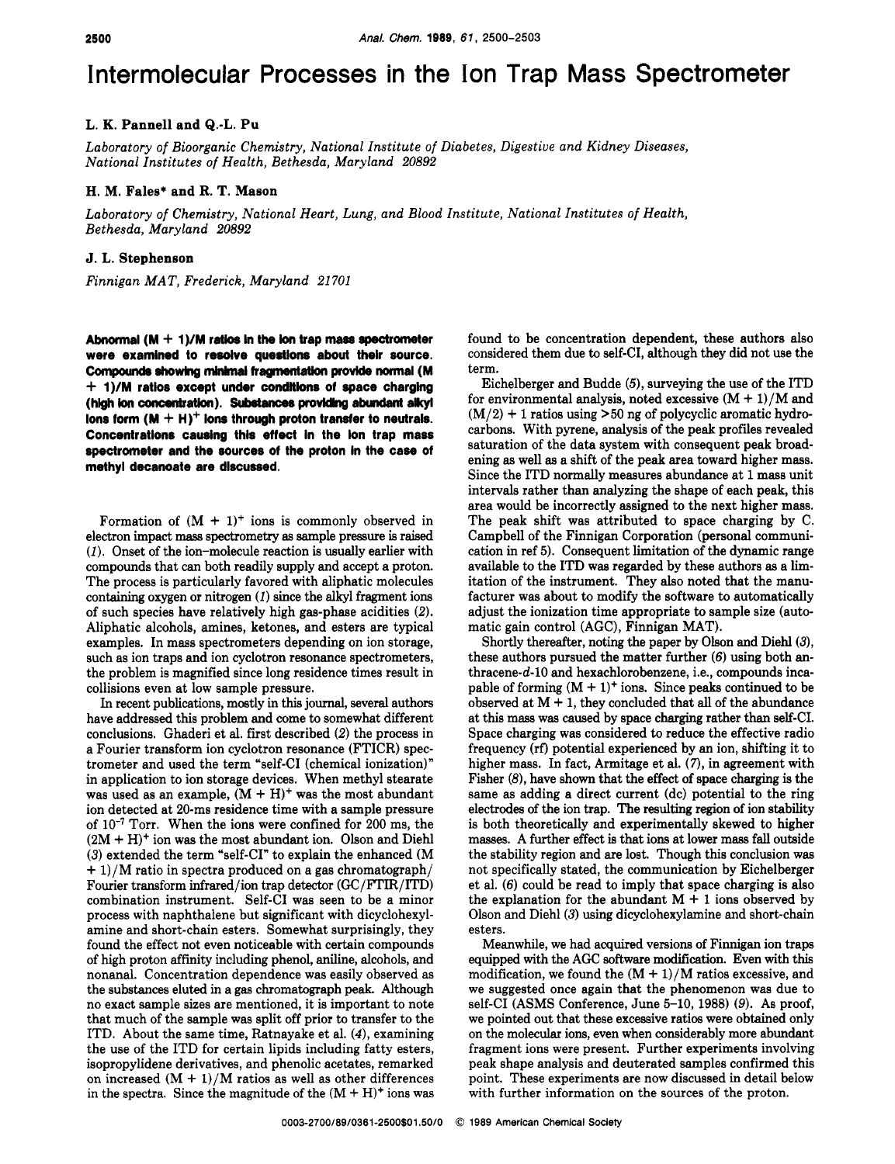# Intermolecular Processes in the Ion Trap Mass Spectrometer

## **L. K. Pannell and Q.-L. Pu**

*Laboratory of Bioorganic Chemistry, National Institute of Diabetes, Digestive and Kidney Diseases, National Institutes of Health, Bethesda, Maryland* 20892

#### **H. M. Fales\* and R. T. Mason**

*Laboratory of Chemistry, National Heart, Lung, and Blood Institute, National Institutes of Health, Bethesda, Maryland* 20892

### **J. L. Stephenson**

*Finnigan MAT, Frederick, Maryland* 21 701

**Akronnal (M** + **1)/M retloe In the lon trap mas8** *spectrometer*  **were examlned to resolve questions about their source.**  Compounds showing minimal fragmentation provide normal (M + **1)/M ratios except undar condnkns of space charglng**  (high ion concentration). Substances providing abundant alkyl **Ions form (M** + **H)' Ions through proton transfer to neutrals. Concentrations causing thls effect In the Ion trap mass**  spectrometer and the sources of the proton in the case of methyl decanoate are discussed.

Formation of  $(M + 1)^+$  ions is commonly observed in electron impact **m&58** spectrometry **as** sample pressure is raised (1). Onset of the ion-molecule reaction is usually earlier with compounds that can both readily supply and accept a proton. The process is particularly favored with aliphatic molecules containing oxygen or nitrogen *(1)* since the alkyl fragment ions of such species have relatively high gas-phase acidities *(2).*  Aliphatic alcohols, amines, ketones, and esters are typical examples. In mass spectrometers depending on ion storage, such **as** ion traps and ion cyclotron resonance spectrometers, the problem is magnified since long residence times result in collisions even at low sample pressure.

In recent publications, mostly in this journal, several authors have addressed this problem and come to somewhat different conclusions. Ghaderi et al. first described (2) the process in a Fourier transform ion cyclotron resonance (FTICR) spectrometer and used the term "self-CI (chemical ionization)" in application to ion storage devices. When methyl stearate was used as an example,  $(M + H)^+$  was the most abundant ion detected at 20-ms residence time with a sample pressure of IO-' Torr. When the ions were confined for 200 ms, the  $(2M + H)^+$  ion was the most abundant ion. Olson and Diehl (3) extended the term "self-CI" to explain the enhanced (M  $+ 1$ )/M ratio in spectra produced on a gas chromatograph/ Fourier transform infrared/ion trap detedor **(GC/FTIR/ITD)**  combination instrument. Self-CI was seen to be a minor process with naphthalene but significant with dicyclohexylamine and short-chain esters. Somewhat surprisingly, they found the effect not even noticeable with certain compounds of high proton affinity including phenol, aniline, alcohols, and nonanal. Concentration dependence was easily observed as the substances eluted in a gas chromatograph peak. Although no exact sample sizes are mentioned, it is important to note that much of the sample was split off prior to transfer to the ITD. About the same time, Ratnayake et al. *(4),* examining the use of the ITD for certain lipids including fatty esters, isopropylidene derivatives, and phenolic acetates, remarked on increased  $(M + 1)/M$  ratios as well as other differences in the spectra. Since the magnitude of the  $(M + H)^+$  ions was found to be concentration dependent, these authors also considered them due to self-CI, although they did not use the term.

Eichelberger and Budde *(5),* surveying the use of the ITD for environmental analysis, noted excessive  $(M + 1)/M$  and (M/2) + 1 ratios using **>50** ng of polycyclic aromatic hydrocarbons. With pyrene, analysis of the peak profiles revealed saturation of the data system with consequent peak broadening **as** well **as** a shift of the peak area toward higher mass. Since the ITD normally measures abundance at 1 mass unit intervals rather than analyzing the shape of each peak, this area would be incorrectly assigned to the next higher mass. The peak shift was attributed to space charging by C. Campbell of the Finnigan Corporation (personal communication in ref 5). Consequent limitation of the dynamic range available to the ITD was regarded by these authors **as** a limitation of the instrument. They also noted that the manufacturer was about to modify the software to automatically adjust the ionization time appropriate to sample size (automatic gain control (AGC), Finnigan MAT).

Shortly thereafter, noting the paper by Olson and Diehl(3), these authors pursued the matter further (6) using both anthracene-d-10 and hexachlorobenzene, i.e., compounds incapable of forming  $(M + 1)^+$  ions. Since peaks continued to be observed at  $M + 1$ , they concluded that all of the abundance at this mass was caused by space charging rather than self-CI. Space charging was considered to reduce the effective radio frequency **(rf)** potential experienced by an ion, shifting it to higher mass. In fact, Armitage et al. *(7),* in agreement with Fisher  $(8)$ , have shown that the effect of space charging is the same as adding a direct current (dc) potential to the ring electrodes of the ion trap. The resulting region of ion stability is both thearetically and experimentally skewed to higher masses. A further effect is that ions at lower **mass** fall outside the stability region and are lost. Though this conclusion was not specifically stated, the communication by Eichelberger et al. (6) could be read to imply that space charging is also the explanation for the abundant  $M + 1$  ions observed by Olson and Diehl(3) using dicyclohexylamine and short-chain esters.

Meanwhile, we had acquired versions of Finnigan ion traps equipped with the AGC software modification. Even with this modification, we found the  $(M + 1)/M$  ratios excessive, and we suggested once again that the phenomenon was due to self-CI (ASMS Conference, June 5-10, 1988) (9). As proof, we pointed out that these excessive ratios were obtained only on the molecular ions, even when considerably more abundant fragment ions were present. Further experiments involving peak shape analysis and deuterated samples confirmed this point. These experiments are now discussed in detail below with further information on the sources of the proton.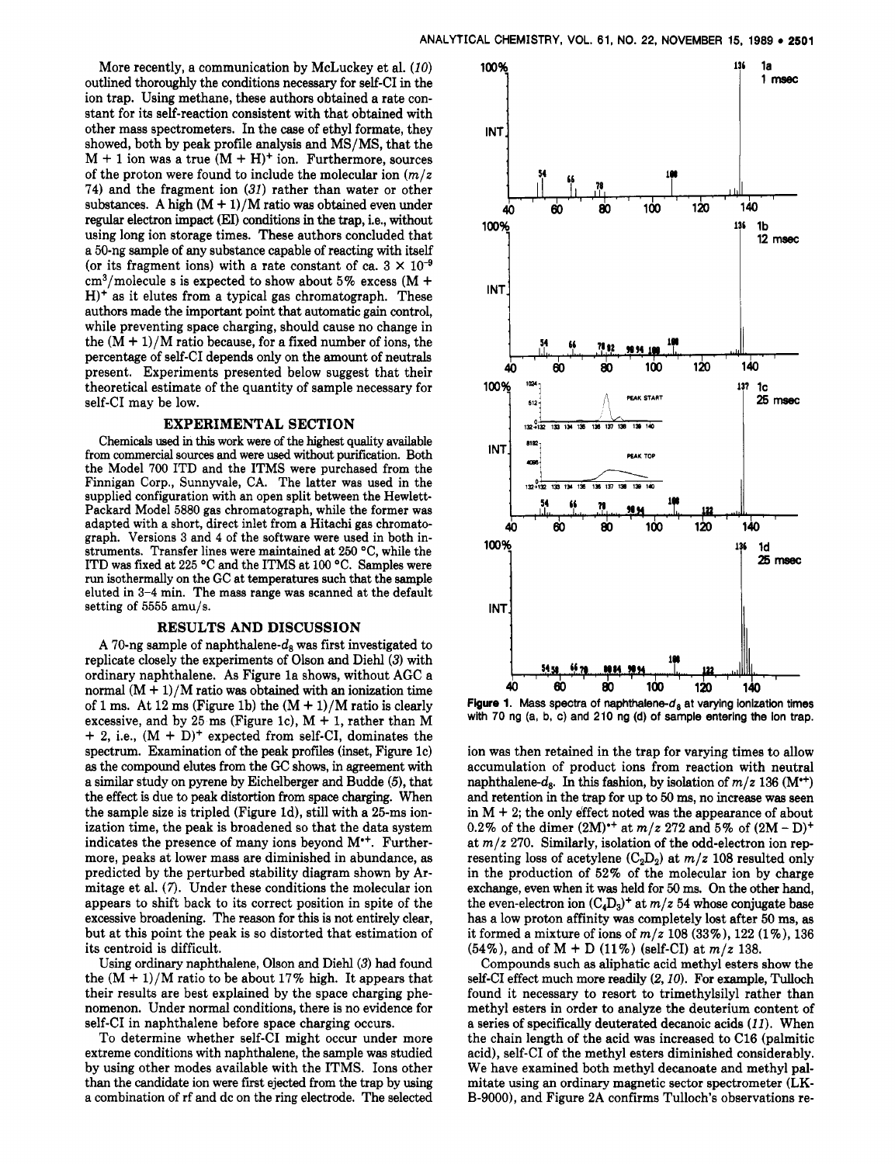More recently, a communication by McLuckey et al. *(10)*  outlined thoroughly the conditions necessary for self-CI in the ion trap. Using methane, these authors obtained a rate constant for its self-reaction consistent with that obtained with other mass spectrometers. In the case of ethyl formate, they showed, both by peak profile analysis and MS/MS, that the  $M + 1$  ion was a true  $(M + H)^+$  ion. Furthermore, sources of the proton were found to include the molecular ion *(m/z*  74) and the fragment ion (31) rather than water or other substances. A high  $(M + 1)/M$  ratio was obtained even under regular electron impact (EI) conditions in the trap, i.e., without using long ion storage times. These authors concluded that a 50-ng sample of any substance capable of reacting with itself (or its fragment ions) with a rate constant of ca.  $3 \times 10^{-9}$  $cm<sup>3</sup>/molecule s$  is expected to show about 5% excess (M + **H)+** as it elutes from a typical gas chromatograph. These authors made the important point that automatic gain control, while preventing space charging, should cause no change in the  $(M + 1)/M$  ratio because, for a fixed number of ions, the percentage of self-CI depends only on the amount of neutrals present. Experiments presented below suggest that their theoretical estimate of the quantity of sample necessary for self-CI may be low.

#### **EXPERIMENTAL SECTION**

Chemicals used in this work were of the highest quality available from commercial sources and were used without purification. Both the Model **700** ITD and the ITMS were purchased from the Finnigan Corp., Sunnyvale, CA. The latter was used in the supplied configuration with an open split between the Hewlett-Packard Model 5880 gas chromatograph, while the former was adapted with a short, direct inlet from a Hitachi gas chromatograph. Versions 3 and 4 of the software were used in both instruments. Transfer lines were maintained at 250 **"C,** while the ITD was fixed at 225 "C and the ITMS at 100 "C. Samples were run isothermally on the GC at temperatures such that the sample eluted in 3-4 min. The mass range was scanned at the default setting of 5555 amu/s.

#### **RESULTS AND DISCUSSION**

A 70-ng sample of naphthalene- $d_{\rm s}$  was first investigated to replicate closely the experiments of Olson and Diehl(3) with ordinary naphthalene. As Figure la shows, without AGC a normal  $(M + 1)/M$  ratio was obtained with an ionization time of 1 ms. At 12 ms (Figure 1b) the  $(M + 1)/M$  ratio is clearly excessive, and by 25 ms (Figure 1c),  $M + 1$ , rather than M  $+$  2, i.e.,  $(M + D)^+$  expected from self-CI, dominates the spectrum. Examination of the **peak** profiies (inset, Figure IC) **as** the compound elutes from the GC shows, in agreement with a similar study on pyrene by Eichelberger and Budde **(5),** that the effect is due to peak distortion from space charging. When the sample size is tripled (Figure Id), still with a 25-ms ionization time, the peak is broadened so that the data system indicates the presence of many ions beyond  $M^*$ . Furthermore, peaks at lower mass are diminished in abundance, as predicted by the perturbed stability diagram shown by Armitage et al. **(7).** Under these conditions the molecular ion appears to shift back to its correct position in spite of the excessive broadening. The reason for this is not entirely clear, but at this point the peak is so distorted that estimation of its centroid is difficult.

Using ordinary naphthalene, Olson and Diehl(3) had found the  $(M + 1)/M$  ratio to be about 17% high. It appears that their results are best explained by the space charging phenomenon. Under normal conditions, there is no evidence for self-CI in naphthalene before space charging occurs.

To determine whether self-CI might occur under more extreme conditions with naphthalene, the sample was studied by using other modes available with the ITMS. Ions other than the candidate ion were first ejected from the trap by using a combination of rf and dc on the ring electrode. The selected



**Figure 1. Mass spectra of naphthalene-d, at varying ionization times**  with 70 ng (a, b, c) and 210 ng (d) of sample entering the ion trap.

ion was then retained in the trap for varying times to allow accumulation of product ions from reaction with neutral naphthalene- $d_8$ . In this fashion, by isolation of  $m/z$  136 **(M\*\*)** and retention in the trap for up to **50 ms,** no increase was seen in  $M + 2$ ; the only effect noted was the appearance of about 0.2% of the dimer  $(2M)^{+}$  at  $m/z$  272 and 5% of  $(2M - D)^{+}$ at *m/z* 270. Similarly, isolation of the odd-electron ion representing loss of acetylene  $(C_2D_2)$  at  $m/z$  108 resulted only in the production of 52% of the molecular ion by charge exchange, even when it was held for **50 ms.** On the other hand, the even-electron ion  $(C_4D_3)^+$  at  $m/z$  54 whose conjugate base has a low proton affinity was completely lost after 50 **ms, as**  it formed a mixture of ions of *m/z* 108 **(33%),** 122 (l%), 136 (54%), and of M + D (11%) (self-CI) at *m/z* 138.

Compounds such **as** aliphatic acid methyl esters show the self-CI effect much more readily *(2,10).* For example, Tulloch found it necessary to resort to trimethylsilyl rather than methyl esters in order to analyze the deuterium content of a series of specifically deuterated decanoic acids *(11).* When the chain length of the acid was increased to C16 (palmitic acid), self-CI of the methyl esters diminished considerably. We have examined both methyl decanoate and methyl palmitate using an ordinary magnetic sector spectrometer (LK-**B-9000),** and Figure 2A confirms Tulloch's observations re-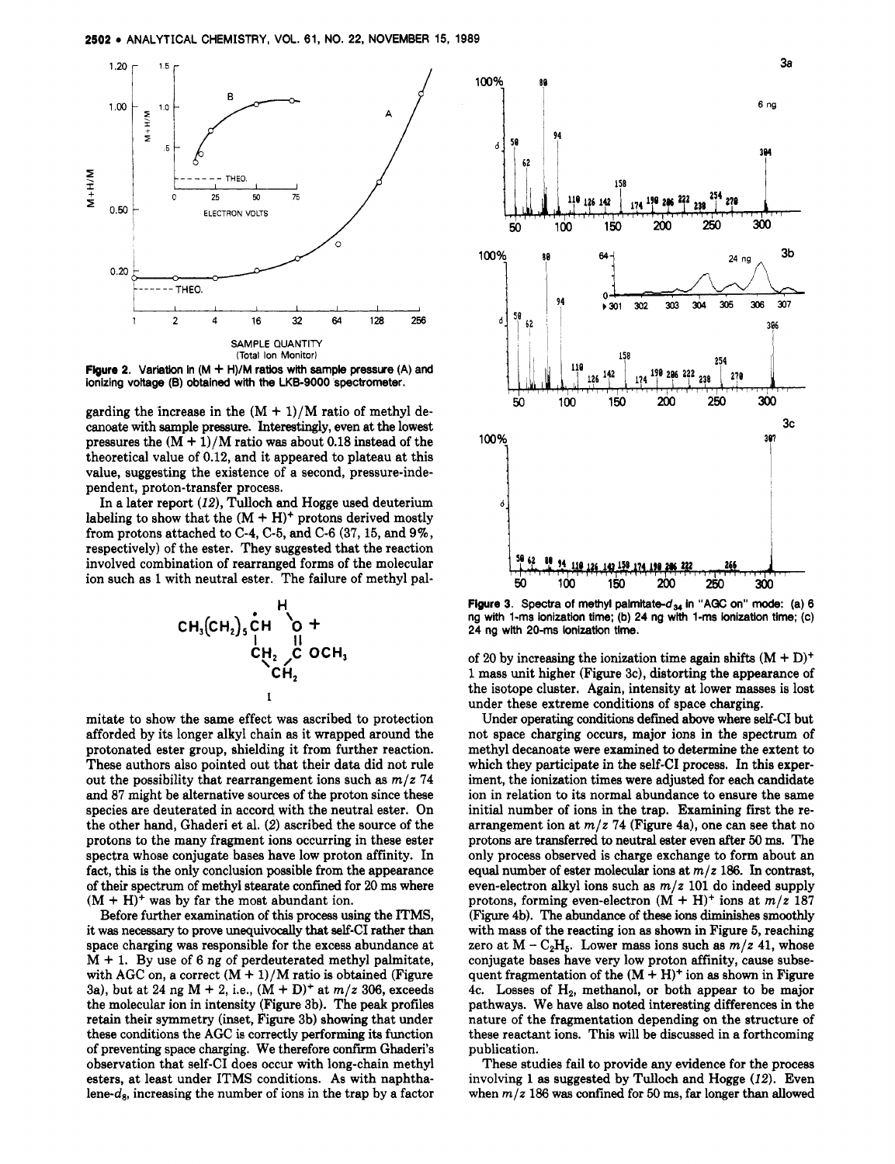

**Figure 2. Variation In (M** + **H)/M ratios** with **sample pressure (A)** and **ionizing voltage (B) obtained with the LKB-9000 spectrometer.** 

garding the increase in the  $(M + 1)/M$  ratio of methyl decanoate with sample pressure. Interestingly, even at the lowest pressures the  $(M + 1)/M$  ratio was about 0.18 instead of the theoretical value of 0.12, and it appeared to plateau at this value, suggesting the existence of a second, pressure-independent, proton-transfer process.

In a later report *(12),* Tulloch and Hogge used deuterium labeling to show that the  $(M + H)^+$  protons derived mostly from protons attached to C-4, C-5, and C-6 (37,15, and 9%, respectively) of the ester. They suggested that the reaction involved combination of rearranged forms of the molecular ion such as **1** with neutral ester. The failure of methyl pal-



mitate to show the same effect was ascribed to protection afforded by its longer alkyl chain as it wrapped around the protonated ester group, shielding it from further reaction. These authors also pointed out that their data did not rule out the possibility that rearrangement ions such as  $m/z$  74 and 87 might be alternative sources of the proton since these species are deuterated in accord with the neutral ester. On the other hand, Ghaderi et al. (2) ascribed the source of the protons to the many fragment ions occurring in these ester spectra whose conjugate bases have low proton affinity. In fact, this is the only conclusion possible from the appearance of their spectrum of methyl stearate confined for 20 **ma** where  $(M + H)^+$  was by far the most abundant ion.

Before further examination of this process using the ITMS, it was necessary to prove unequivocally that self-CI rather than space charging was responsible for the excess abundance at  $M + 1$ . By use of 6 ng of perdeuterated methyl palmitate, with AGC on, a correct  $(M + 1)/M$  ratio is obtained (Figure 3a), but at 24 ng  $M + 2$ , i.e.,  $(M + D)^+$  at  $m/z$  306, exceeds the molecular ion in intensity (Figure 3b). The *peak* profiles retain their symmetry (inset, Figure 3b) showing that under these conditions the AGC is correctly performing its function of preventing space charging. We therefore confirm Ghaderi's observation that self-CI does occur with long-chain methyl esters, at least under ITMS conditions. As with naphthalene- $d_8$ , increasing the number of ions in the trap by a factor



**Figure 3.** Spectra of methyl palmitate- $d_{34}$  in "AGC on" mode: (a) 6 **ng with 1-ms ionization time; (b) 24 ng with 1-ms ionization time; (c) 24 ng with 20-ms ionization time.** 

of 20 by increasing the ionization time again shifts  $(M + D)^+$ 1 mass unit higher (Figure 3c), distorting the appearance of the isotope cluster. Again, intensity at lower masses is lost under these extreme conditions of space charging.

Under operating conditions defined above where self-CI but not space charging occurs, major ions in the spectrum of methyl decanoate were examined to determine the extent to which they participate in the self-CI process. In this experiment, the ionization times were adjusted for each candidate ion in relation to its normal abundance to ensure the same initial number of ions in the trap. Examining first the rearrangement ion at  $m/z$  **74** (Figure 4a), one can see that no protons are transferred to neutral ester even after **50 m.** The only process observed is charge exchange to form about an equal number of ester molecular ions at *m/z* 186. In contrast, even-electron alkyl ions such **as** *m/z* 101 do indeed supply protons, forming even-electron  $(M + H)^+$  ions at  $m/z$  187 (Figure 4b). The abundance of **these** ions diminishes smoothly with mass of the reacting ion **as** shown in Figure *5,* reaching zero at  $M - C_2H_5$ . Lower mass ions such as  $m/z$  41, whose conjugate bases have very low proton affinity, cause subsequent fragmentation of the  $(M + H)^+$  ion as shown in Figure 4c. Losses of  $H_2$ , methanol, or both appear to be major pathways. We have also noted interesting differences in the nature of the fragmentation depending on the structure of these reactant ions. This will be discussed in a forthcoming publication.

These studies fail to provide any evidence for the process involving **1 as** suggested by Tulloch and Hogge *(12).* Even when  $m/z$  186 was confined for 50 ms, far longer than allowed